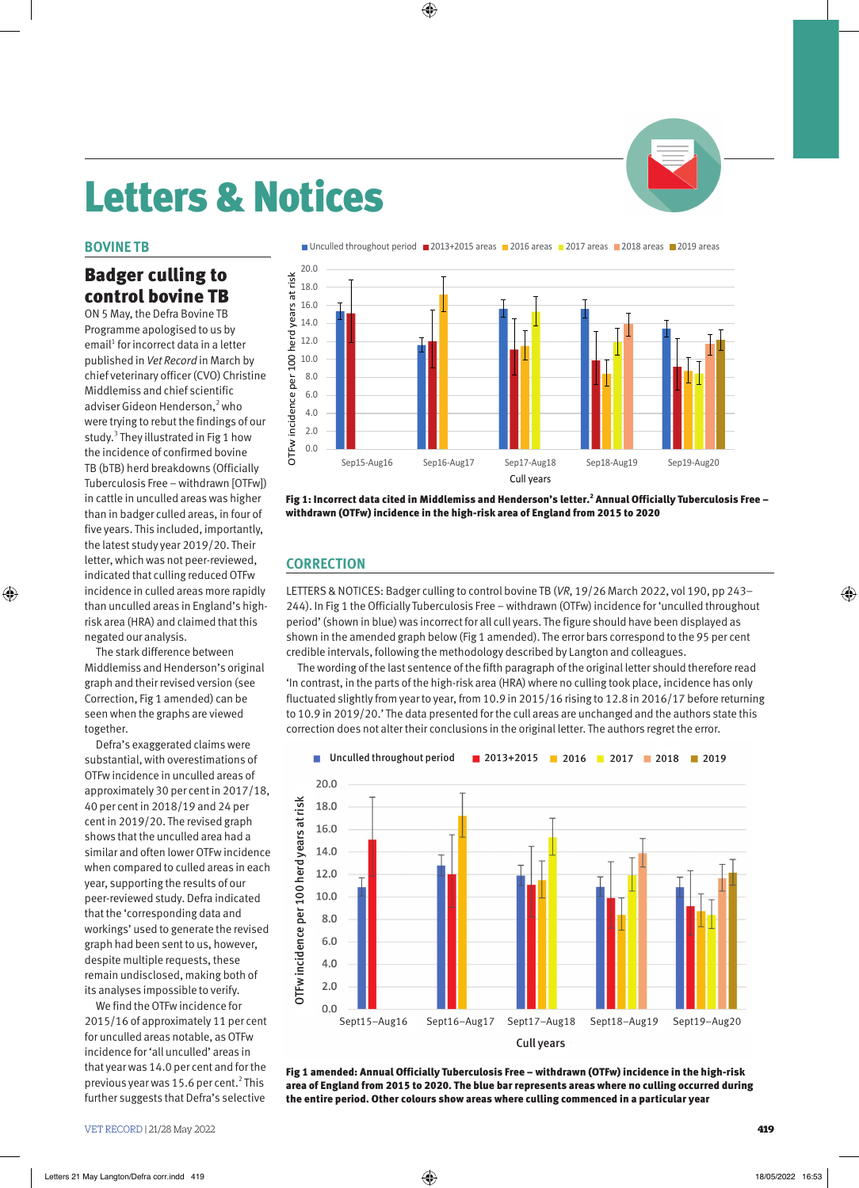# Letters & Notices

### **BOVINE TB**

◈

## Badger culling to control bovine TB

ON 5 May, the Defra Bovine TB Programme apologised to us by email<sup>1</sup> for incorrect data in a letter published in *Vet Record* in March by chief veterinary officer (CVO) Christine Middlemiss and chief scientific adviser Gideon Henderson,<sup>2</sup> who were trying to rebut the findings of our study. $3$  They illustrated in Fig 1 how the incidence of confirmed bovine TB (bTB) herd breakdowns (Officially Tuberculosis Free – withdrawn [OTFw]) in cattle in unculled areas was higher than in badger culled areas, in four of five years. This included, importantly, the latest study year 2019/20. Their letter, which was not peer-reviewed, indicated that culling reduced OTFw incidence in culled areas more rapidly than unculled areas in England's highrisk area (HRA) and claimed that this negated our analysis.

The stark difference between Middlemiss and Henderson's original graph and their revised version (see Correction, Fig 1 amended) can be seen when the graphs are viewed together.

Defra's exaggerated claims were substantial, with overestimations of OTFw incidence in unculled areas of approximately 30 per cent in 2017/18, 40 per cent in 2018/19 and 24 per cent in 2019/20. The revised graph shows that the unculled area had a similar and often lower OTFw incidence when compared to culled areas in each year, supporting the results of our peer-reviewed study. Defra indicated that the 'corresponding data and workings' used to generate the revised graph had been sent to us, however, despite multiple requests, these remain undisclosed, making both of its analyses impossible to verify.

We find the OTFw incidence for 2015/16 of approximately 11 per cent for unculled areas notable, as OTFw incidence for 'all unculled' areas in that year was 14.0 per cent and for the previous year was 15.6 per cent.<sup>2</sup> This further suggests that Defra's selective



⊕

Fig 1: Incorrect data cited in Middlemiss and Henderson's letter.<sup>2</sup> Annual Officially Tuberculosis Free – withdrawn (OTFw) incidence in the high-risk area of England from 2015 to 2020

## **CORRECTION**

LETTERS & NOTICES: Badger culling to control bovine TB (*VR*, 19/26 March 2022, vol 190, pp 243– 244). In Fig 1 the Officially Tuberculosis Free – withdrawn (OTFw) incidence for 'unculled throughout period' (shown in blue) was incorrect for all cull years. The figure should have been displayed as shown in the amended graph below (Fig 1 amended). The error bars correspond to the 95 per cent credible intervals, following the methodology described by Langton and colleagues.

The wording of the last sentence of the fifth paragraph of the original letter should therefore read 'In contrast, in the parts of the high-risk area (HRA) where no culling took place, incidence has only fluctuated slightly from year to year, from 10.9 in 2015/16 rising to 12.8 in 2016/17 before returning to 10.9 in 2019/20.' The data presented for the cull areas are unchanged and the authors state this correction does not alter their conclusions in the original letter. The authors regret the error.



Fig 1 amended: Annual Officially Tuberculosis Free – withdrawn (OTFw) incidence in the high-risk area of England from 2015 to 2020. The blue bar represents areas where no culling occurred during the entire period. Other colours show areas where culling commenced in a particular year

VET RECORD | 21/28 May 2022 **419** 

◈